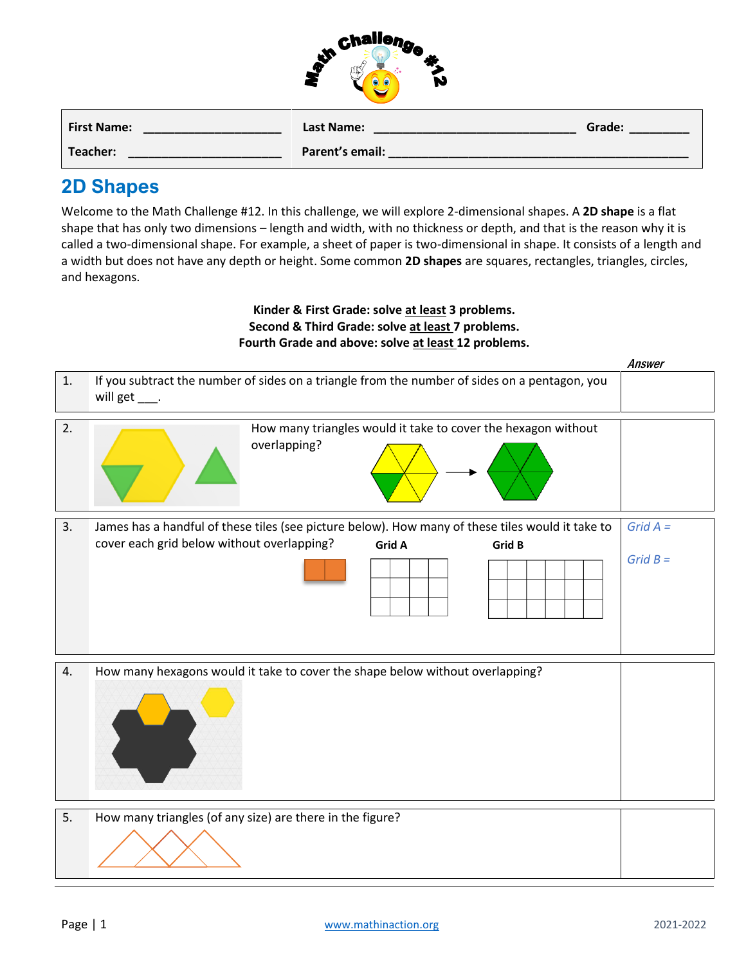| challenge |  |
|-----------|--|
|           |  |
|           |  |
|           |  |

| <b>First Name:</b> | Last Name:      | Grade: |
|--------------------|-----------------|--------|
| Teacher:           | Parent's email: |        |

## **2D Shapes**

Welcome to the Math Challenge #12. In this challenge, we will explore 2-dimensional shapes. A **2D shape** is a flat shape that has only two dimensions – length and width, with no thickness or depth, and that is the reason why it is called a two-dimensional shape. For example, a sheet of paper is two-dimensional in shape. It consists of a length and a width but does not have any depth or height. Some common **2D shapes** are squares, rectangles, triangles, circles, and hexagons.

## **Kinder & First Grade: solve at least 3 problems. Second & Third Grade: solve at least 7 problems. Fourth Grade and above: solve at least 12 problems.**

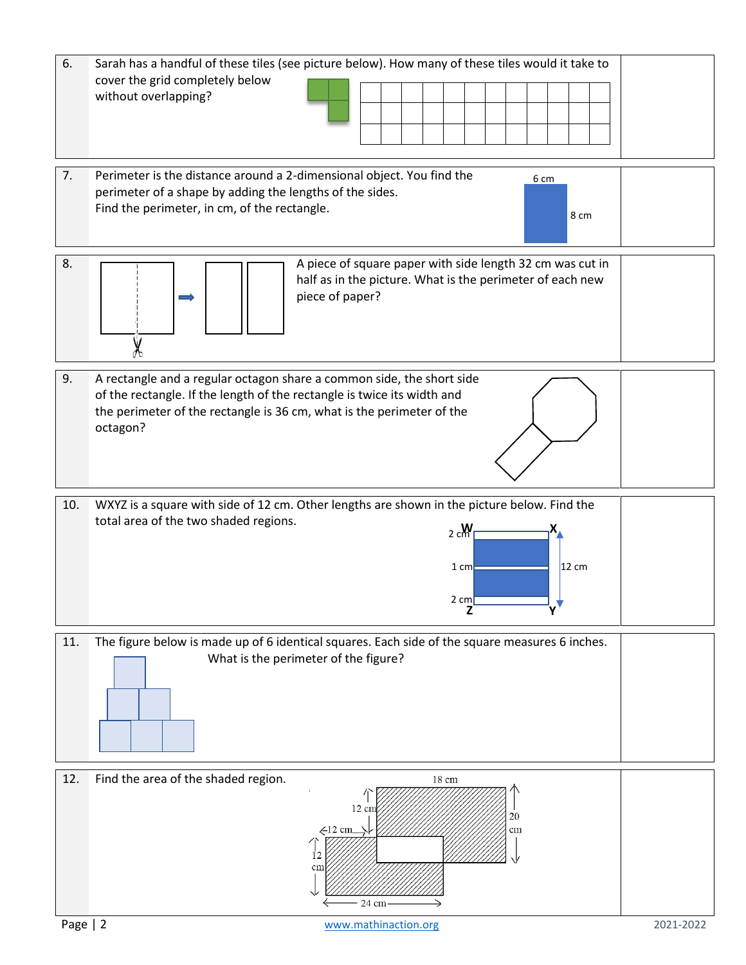